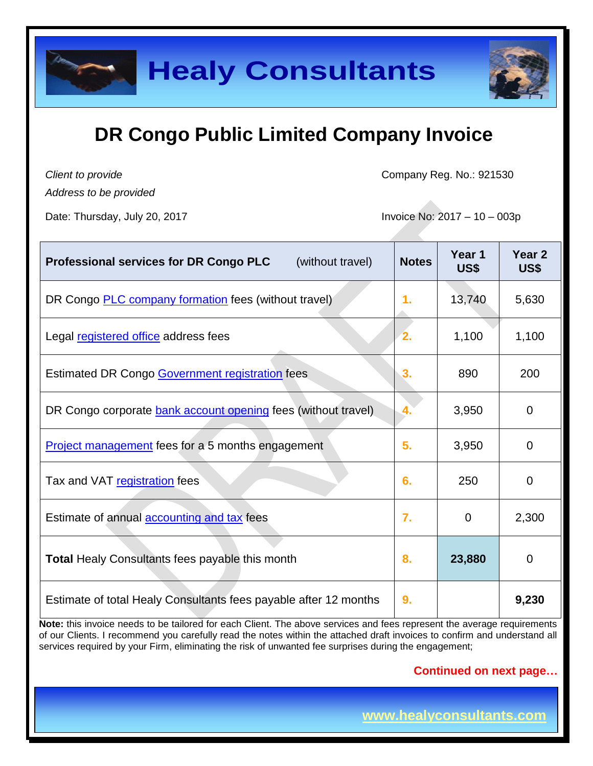

*Client to provide*

Company Reg. No.: 921530

*Address to be provided*

Date: Thursday, July 20, 2017 **Invoice No: 2017** - 10 – 003p

| (without travel)<br><b>Professional services for DR Congo PLC</b> | <b>Notes</b> | Year 1<br>US\$ | Year <sub>2</sub><br>US\$ |
|-------------------------------------------------------------------|--------------|----------------|---------------------------|
| DR Congo <b>PLC</b> company formation fees (without travel)       | 1.           | 13,740         | 5,630                     |
| Legal registered office address fees                              | 2.           | 1,100          | 1,100                     |
| <b>Estimated DR Congo Government registration fees</b>            | 3.           | 890            | 200                       |
| DR Congo corporate bank account opening fees (without travel)     | 4.           | 3,950          | 0                         |
| <b>Project management</b> fees for a 5 months engagement          | 5.           | 3,950          | 0                         |
| Tax and VAT registration fees                                     | 6.           | 250            | 0                         |
| Estimate of annual <b>accounting and tax</b> fees                 | 7.           | $\Omega$       | 2,300                     |
| <b>Total Healy Consultants fees payable this month</b>            | 8.           | 23,880         | 0                         |
| Estimate of total Healy Consultants fees payable after 12 months  | 9.           |                | 9,230                     |

**Note:** this invoice needs to be tailored for each Client. The above services and fees represent the average requirements of our Clients. I recommend you carefully read the notes within the attached draft invoices to confirm and understand all services required by your Firm, eliminating the risk of unwanted fee surprises during the engagement;

#### **Continued on next page…**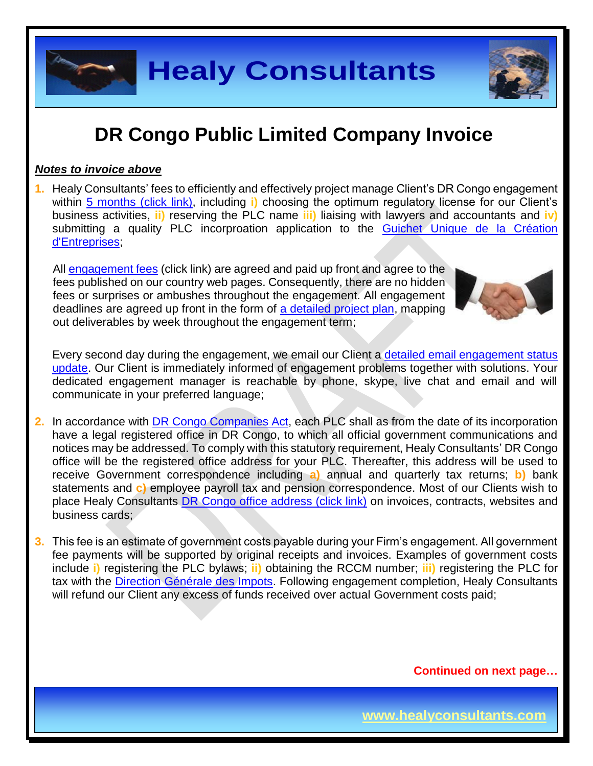

#### *Notes to invoice above*

**1.** Healy Consultants' fees to efficiently and effectively project manage Client's DR Congo engagement within 5 [months \(click link\),](http://www.healyconsultants.com/democratic-republic-of-congo-company-registration/fees-timelines/#timelines) including **i)** choosing the optimum regulatory license for our Client's business activities, **ii)** reserving the PLC name **iii)** liaising with lawyers and accountants and **iv)**  submitting a quality PLC incorproation application to the Guichet Unique de la Création [d'Entreprises;](http://fr.guichetunique.cd/)

All [engagement fees](http://www.healyconsultants.com/company-registration-fees/) (click link) are agreed and paid up front and agree to the fees published on our country web pages. Consequently, there are no hidden fees or surprises or ambushes throughout the engagement. All engagement deadlines are agreed up front in the form of [a detailed project plan,](http://www.healyconsultants.com/index-important-links/example-project-plan/) mapping out deliverables by week throughout the engagement term;



Every second day during the engagement, we email our Client a [detailed email engagement](http://www.healyconsultants.com/index-important-links/weekly-engagement-status-email/) status [update.](http://www.healyconsultants.com/index-important-links/weekly-engagement-status-email/) Our Client is immediately informed of engagement problems together with solutions. Your dedicated engagement manager is reachable by phone, skype, live chat and email and will communicate in your preferred language;

- **2.** In accordance with [DR Congo Companies Act,](http://www.ohada.com/actes-uniformes.html) each PLC shall as from the date of its incorporation have a legal registered office in DR Congo, to which all official government communications and notices may be addressed. To comply with this statutory requirement, Healy Consultants' DR Congo office will be the registered office address for your PLC. Thereafter, this address will be used to receive Government correspondence including **a)** annual and quarterly tax returns; **b)** bank statements and **c)** employee payroll tax and pension correspondence. Most of our Clients wish to place Healy Consultants [DR Congo office address \(click link\)](http://www.healyconsultants.com/virtual-office/) on invoices, contracts, websites and business cards:
- **3.** This fee is an estimate of government costs payable during your Firm's engagement. All government fee payments will be supported by original receipts and invoices. Examples of government costs include **i)** registering the PLC bylaws; **ii)** obtaining the RCCM number; **iii)** registering the PLC for tax with the [Direction Générale des Impots.](http://www.dgi.gouv.cd/) Following engagement completion, Healy Consultants will refund our Client any excess of funds received over actual Government costs paid;

**Continued on next page…**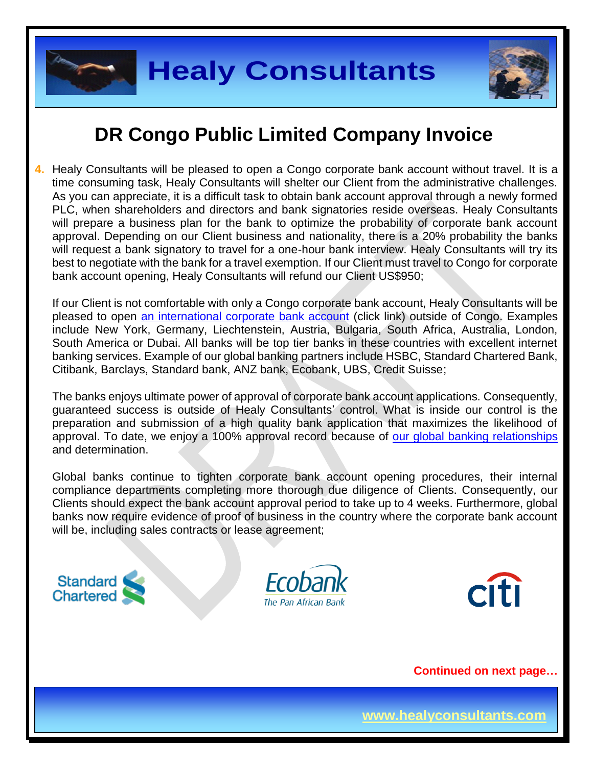



**4.** Healy Consultants will be pleased to open a Congo corporate bank account without travel. It is a time consuming task, Healy Consultants will shelter our Client from the administrative challenges. As you can appreciate, it is a difficult task to obtain bank account approval through a newly formed PLC, when shareholders and directors and bank signatories reside overseas. Healy Consultants will prepare a business plan for the bank to optimize the probability of corporate bank account approval. Depending on our Client business and nationality, there is a 20% probability the banks will request a bank signatory to travel for a one-hour bank interview. Healy Consultants will try its best to negotiate with the bank for a travel exemption. If our Client must travel to Congo for corporate bank account opening, Healy Consultants will refund our Client US\$950;

If our Client is not comfortable with only a Congo corporate bank account, Healy Consultants will be pleased to open [an international corporate bank account](http://www.healyconsultants.com/international-banking/) (click link) outside of Congo. Examples include New York, Germany, Liechtenstein, Austria, Bulgaria, South Africa, Australia, London, South America or Dubai. All banks will be top tier banks in these countries with excellent internet banking services. Example of our global banking partners include HSBC, Standard Chartered Bank, Citibank, Barclays, Standard bank, ANZ bank, Ecobank, UBS, Credit Suisse;

The banks enjoys ultimate power of approval of corporate bank account applications. Consequently, guaranteed success is outside of Healy Consultants' control. What is inside our control is the preparation and submission of a high quality bank application that maximizes the likelihood of approval. To date, we enjoy a 100% approval record because of [our global banking relationships](http://www.healyconsultants.com/international-banking/corporate-accounts/) and determination.

Global banks continue to tighten corporate bank account opening procedures, their internal compliance departments completing more thorough due diligence of Clients. Consequently, our Clients should expect the bank account approval period to take up to 4 weeks. Furthermore, global banks now require evidence of proof of business in the country where the corporate bank account will be, including sales contracts or lease agreement;







**Continued on next page…**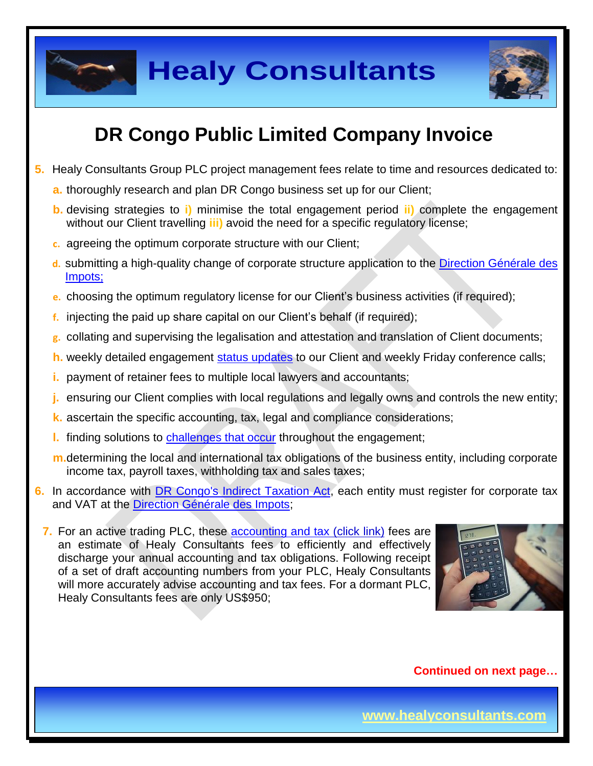



## **DR Congo Public Limited Company Invoice**

- **5.** Healy Consultants Group PLC project management fees relate to time and resources dedicated to:
	- **a.** thoroughly research and plan DR Congo business set up for our Client;
	- **b.** devising strategies to **i)** minimise the total engagement period **ii)** complete the engagement without our Client travelling **iii)** avoid the need for a specific regulatory license;
	- **c.** agreeing the optimum corporate structure with our Client;
	- **d.** submitting a high-quality change of corporate structure application to the [Direction Générale des](http://www.dgi.gouv.cd/)  [Impots;](http://www.dgi.gouv.cd/)
	- **e.** choosing the optimum regulatory license for our Client's business activities (if required);
	- **f.** injecting the paid up share capital on our Client's behalf (if required);
	- **g.** collating and supervising the legalisation and attestation and translation of Client documents;
	- **h.** weekly detailed engagement [status updates](http://www.healyconsultants.com/index-important-links/weekly-engagement-status-email/) to our Client and weekly Friday conference calls;
	- **i.** payment of retainer fees to multiple local lawyers and accountants;
	- **j.** ensuring our Client complies with local regulations and legally owns and controls the new entity;
	- **k.** ascertain the specific accounting, tax, legal and compliance considerations;
	- **l.** finding solutions to [challenges that occur](http://www.healyconsultants.com/engagement-project-management/) throughout the engagement;
	- **m.**determining the local and international tax obligations of the business entity, including corporate income tax, payroll taxes, withholding tax and sales taxes;
- **6.** In accordance with [DR Congo's Indirect Taxation Act,](http://www.loc.gov/law/foreign-news/article/congo-the-democratic-republic-of-the-new-tax-measures-adopted/) each entity must register for corporate tax and VAT at the [Direction Générale des Impots;](http://impots-gouv.cg/communications/index)
	- **7.** For an active trading PLC, these **accounting and tax (click link)** fees are an estimate of Healy Consultants fees to efficiently and effectively discharge your annual accounting and tax obligations. Following receipt of a set of draft accounting numbers from your PLC, Healy Consultants will more accurately advise accounting and tax fees. For a dormant PLC, Healy Consultants fees are only US\$950;



**Continued on next page…**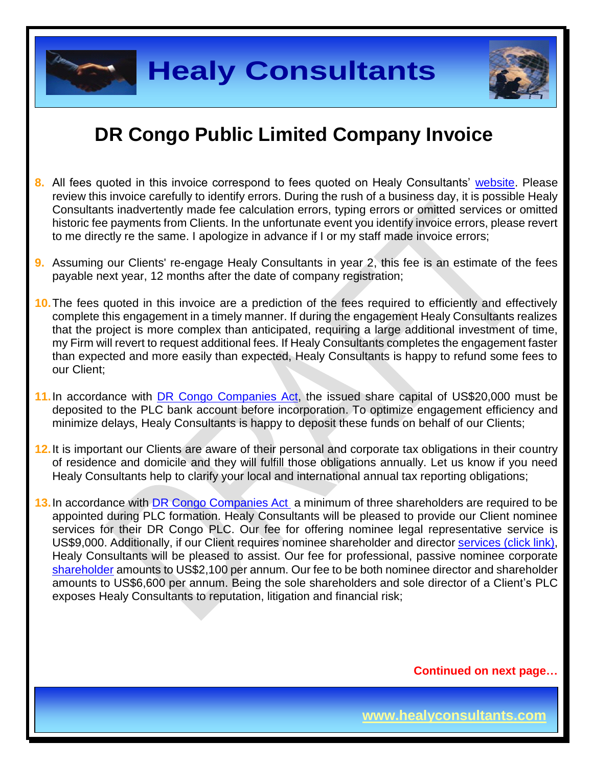

### **DR Congo Public Limited Company Invoice**

- **8.** All fees quoted in this invoice correspond to fees quoted on Healy Consultants' [website.](http://www.healyconsultants.com/company-registration-fees/) Please review this invoice carefully to identify errors. During the rush of a business day, it is possible Healy Consultants inadvertently made fee calculation errors, typing errors or omitted services or omitted historic fee payments from Clients. In the unfortunate event you identify invoice errors, please revert to me directly re the same. I apologize in advance if I or my staff made invoice errors;
- **9.** Assuming our Clients' re-engage Healy Consultants in year 2, this fee is an estimate of the fees payable next year, 12 months after the date of company registration;
- **10.**The fees quoted in this invoice are a prediction of the fees required to efficiently and effectively complete this engagement in a timely manner. If during the engagement Healy Consultants realizes that the project is more complex than anticipated, requiring a large additional investment of time, my Firm will revert to request additional fees. If Healy Consultants completes the engagement faster than expected and more easily than expected, Healy Consultants is happy to refund some fees to our Client;
- **11.**In accordance with [DR Congo Companies Act,](http://www.ohada.com/actes-uniformes.html) the issued share capital of US\$20,000 must be deposited to the PLC bank account before incorporation. To optimize engagement efficiency and minimize delays, Healy Consultants is happy to deposit these funds on behalf of our Clients;
- **12.**It is important our Clients are aware of their personal and corporate tax obligations in their country of residence and domicile and they will fulfill those obligations annually. Let us know if you need Healy Consultants help to clarify your local and international annual tax reporting obligations;
- **13.**In accordance with [DR Congo Companies Act](http://www.ohada.com/actes-uniformes.html) a minimum of three shareholders are required to be appointed during PLC formation. Healy Consultants will be pleased to provide our Client nominee services for their DR Congo PLC. Our fee for offering nominee legal representative service is US\$9,000. Additionally, if our Client requires nominee shareholder and director services [\(click link\),](http://www.healyconsultants.com/corporate-outsourcing-services/nominee-shareholders-directors/) Healy Consultants will be pleased to assist. Our fee for professional, passive nominee corporate [shareholder](http://www.healyconsultants.com/national-shareholder-services/) amounts to US\$2,100 per annum. Our fee to be both nominee director and shareholder amounts to US\$6,600 per annum. Being the sole shareholders and sole director of a Client's PLC exposes Healy Consultants to reputation, litigation and financial risk;

**Continued on next page…**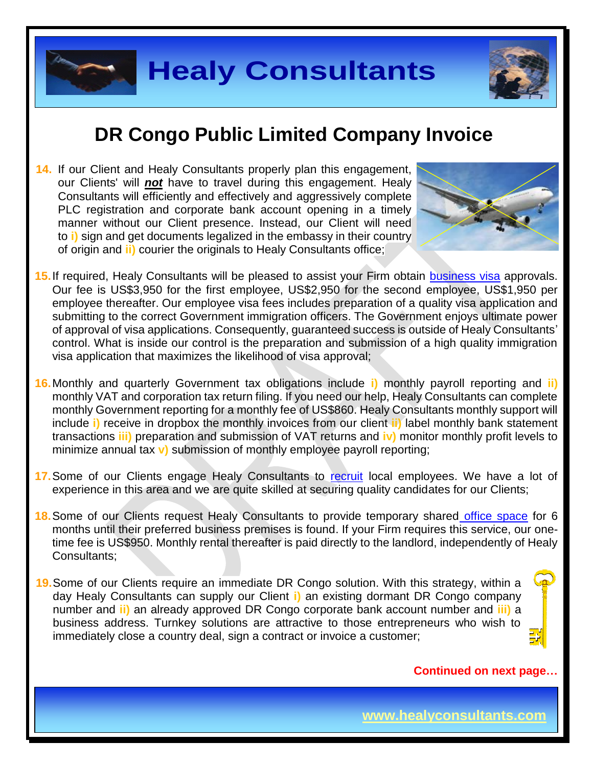

**14.** If our Client and Healy Consultants properly plan this engagement, our Clients' will *not* have to travel during this engagement. Healy Consultants will efficiently and effectively and aggressively complete PLC registration and corporate bank account opening in a timely manner without our Client presence. Instead, our Client will need to **i)** sign and get documents legalized in the embassy in their country of origin and **ii)** courier the originals to Healy Consultants office;



- **15.**If required, Healy Consultants will be pleased to assist your Firm obtain [business visa](http://www.healyconsultants.com/corporate-advisory-services/migration/) approvals. Our fee is US\$3,950 for the first employee, US\$2,950 for the second employee, US\$1,950 per employee thereafter. Our employee visa fees includes preparation of a quality visa application and submitting to the correct Government immigration officers. The Government enjoys ultimate power of approval of visa applications. Consequently, guaranteed success is outside of Healy Consultants' control. What is inside our control is the preparation and submission of a high quality immigration visa application that maximizes the likelihood of visa approval;
- **16.**Monthly and quarterly Government tax obligations include **i)** monthly payroll reporting and **ii)** monthly VAT and corporation tax return filing. If you need our help, Healy Consultants can complete monthly Government reporting for a monthly fee of US\$860. Healy Consultants monthly support will include **i)** receive in dropbox the monthly invoices from our client **ii)** label monthly bank statement transactions **iii)** preparation and submission of VAT returns and **iv)** monitor monthly profit levels to minimize annual tax **v)** submission of monthly employee payroll reporting;
- 17. Some of our Clients engage Healy Consultants to [recruit](http://www.healyconsultants.com/corporate-outsourcing-services/how-we-help-our-clients-recruit-quality-employees/) local employees. We have a lot of experience in this area and we are quite skilled at securing quality candidates for our Clients;
- **18.**Some of our Clients request Healy Consultants to provide temporary shared [office space](http://www.healyconsultants.com/virtual-office/) for 6 months until their preferred business premises is found. If your Firm requires this service, our onetime fee is US\$950. Monthly rental thereafter is paid directly to the landlord, independently of Healy Consultants;
- **19.**Some of our Clients require an immediate DR Congo solution. With this strategy, within a day Healy Consultants can supply our Client **i)** an existing dormant DR Congo company number and **ii)** an already approved DR Congo corporate bank account number and **iii)** a business address. Turnkey solutions are attractive to those entrepreneurs who wish to immediately close a country deal, sign a contract or invoice a customer;



#### **Continued on next page…**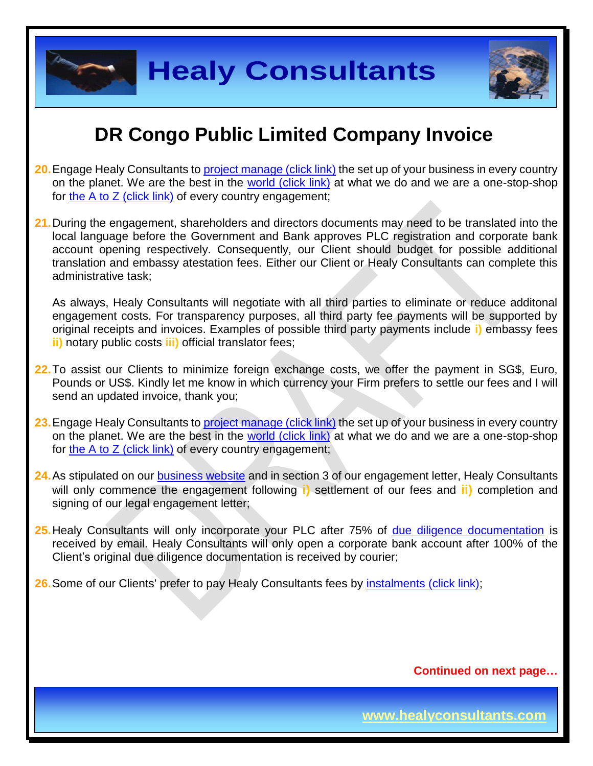

# **DR Congo Public Limited Company Invoice**

- **20.** Engage Healy Consultants to [project manage \(click link\)](http://www.healyconsultants.com/project-manage-engagements/) the set up of your business in every country on the planet. We are the best in the [world \(click link\)](http://www.healyconsultants.com/best-in-the-world/) at what we do and we are a one-stop-shop for the A to  $Z$  (click link) of every country engagement;
- **21.**During the engagement, shareholders and directors documents may need to be translated into the local language before the Government and Bank approves PLC registration and corporate bank account opening respectively. Consequently, our Client should budget for possible additional translation and embassy atestation fees. Either our Client or Healy Consultants can complete this administrative task;

As always, Healy Consultants will negotiate with all third parties to eliminate or reduce additonal engagement costs. For transparency purposes, all third party fee payments will be supported by original receipts and invoices. Examples of possible third party payments include **i)** embassy fees **ii)** notary public costs **iii)** official translator fees;

- **22.**To assist our Clients to minimize foreign exchange costs, we offer the payment in SG\$, Euro, Pounds or US\$. Kindly let me know in which currency your Firm prefers to settle our fees and I will send an updated invoice, thank you;
- **23.** Engage Healy Consultants to [project manage \(click link\)](http://www.healyconsultants.com/project-manage-engagements/) the set up of your business in every country on the planet. We are the best in the [world \(click link\)](http://www.healyconsultants.com/best-in-the-world/) at what we do and we are a one-stop-shop for the A to  $Z$  (click link) of every country engagement;
- **24.**As stipulated on our [business website](http://www.healyconsultants.com/) and in section 3 of our engagement letter, Healy Consultants will only commence the engagement following **i)** settlement of our fees and **ii)** completion and signing of our legal engagement letter;
- **25.**Healy Consultants will only incorporate your PLC after 75% of [due diligence documentation](http://www.healyconsultants.com/due-diligence/) is received by email. Healy Consultants will only open a corporate bank account after 100% of the Client's original due diligence documentation is received by courier;
- **26.** Some of our Clients' prefer to pay Healy Consultants fees by **instalments** (click link);

**Continued on next page…**